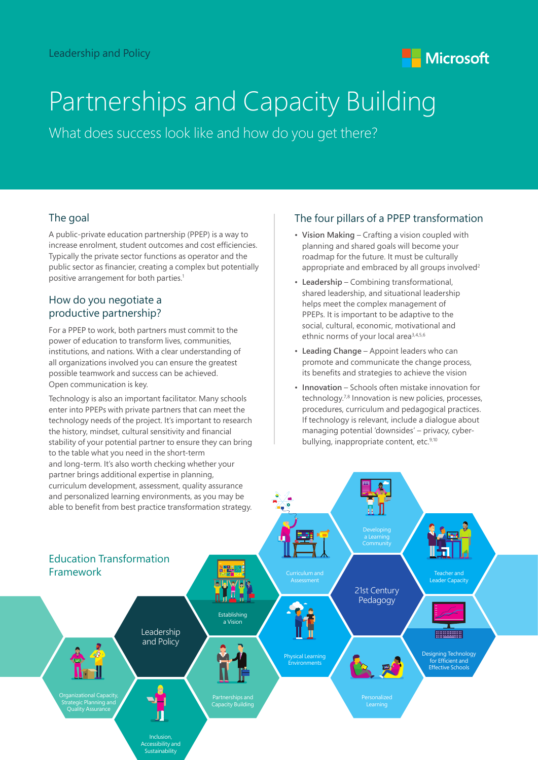

# Partnerships and Capacity Building

What does success look like and how do you get there?

## The goal

A public-private education partnership (PPEP) is a way to increase enrolment, student outcomes and cost efficiencies. Typically the private sector functions as operator and the public sector as financier, creating a complex but potentially positive arrangement for both parties.<sup>1</sup>

### How do you negotiate a productive partnership?

For a PPEP to work, both partners must commit to the power of education to transform lives, communities, institutions, and nations. With a clear understanding of all organizations involved you can ensure the greatest possible teamwork and success can be achieved. Open communication is key.

Technology is also an important facilitator. Many schools enter into PPEPs with private partners that can meet the technology needs of the project. It's important to research the history, mindset, cultural sensitivity and financial stability of your potential partner to ensure they can bring to the table what you need in the short-term and long-term. It's also worth checking whether your

### The four pillars of a PPEP transformation

- **Vision Making** Crafting a vision coupled with planning and shared goals will become your roadmap for the future. It must be culturally appropriate and embraced by all groups involved<sup>2</sup>
- **Leadership** Combining transformational, shared leadership, and situational leadership helps meet the complex management of PPEPs. It is important to be adaptive to the social, cultural, economic, motivational and ethnic norms of your local area<sup>3,4,5,6</sup>
- **Leading Change** Appoint leaders who can promote and communicate the change process, its benefits and strategies to achieve the vision
- **Innovation** Schools often mistake innovation for technology.7,8 Innovation is new policies, processes, procedures, curriculum and pedagogical practices. If technology is relevant, include a dialogue about managing potential 'downsides' – privacy, cyberbullying, inappropriate content, etc.<sup>9,10</sup>